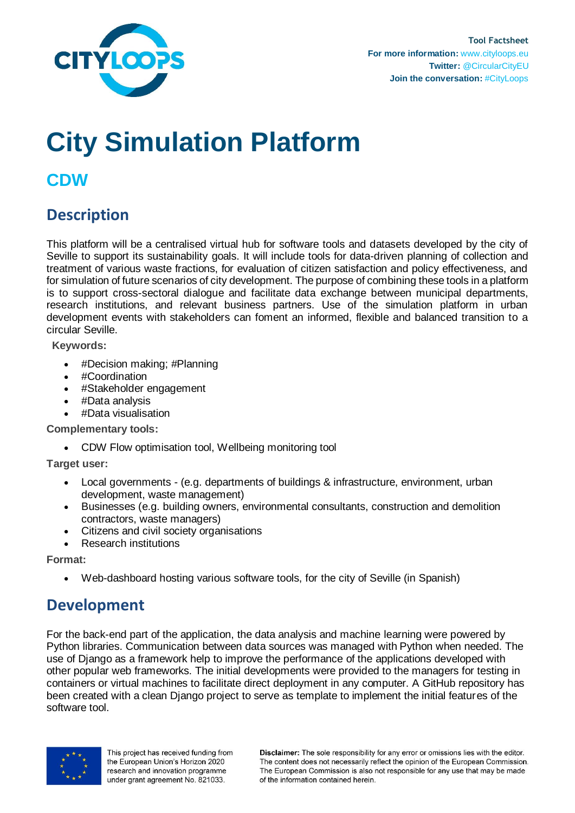

# **City Simulation Platform**

## **CDW**

## **Description**

This platform will be a centralised virtual hub for software tools and datasets developed by the city of Seville to support its sustainability goals. It will include tools for data-driven planning of collection and treatment of various waste fractions, for evaluation of citizen satisfaction and policy effectiveness, and for simulation of future scenarios of city development. The purpose of combining these tools in a platform is to support cross-sectoral dialogue and facilitate data exchange between municipal departments, research institutions, and relevant business partners. Use of the simulation platform in urban development events with stakeholders can foment an informed, flexible and balanced transition to a circular Seville.

**Keywords:**

- #Decision making; #Planning
- #Coordination
- #Stakeholder engagement
- #Data analysis
- #Data visualisation

**Complementary tools:**

CDW Flow optimisation tool, Wellbeing monitoring tool

**Target user:**

- Local governments (e.g. departments of buildings & infrastructure, environment, urban development, waste management)
- Businesses (e.g. building owners, environmental consultants, construction and demolition contractors, waste managers)
- Citizens and civil society organisations
- Research institutions

**Format:**

Web-dashboard hosting various software tools, for the city of Seville (in Spanish)

## **Development**

For the back-end part of the application, the data analysis and machine learning were powered by Python libraries. Communication between data sources was managed with Python when needed. The use of Django as a framework help to improve the performance of the applications developed with other popular web frameworks. The initial developments were provided to the managers for testing in containers or virtual machines to facilitate direct deployment in any computer. A GitHub repository has been created with a clean Django project to serve as template to implement the initial features of the software tool.



This project has received funding from the European Union's Horizon 2020 research and innovation programme under grant agreement No. 821033.